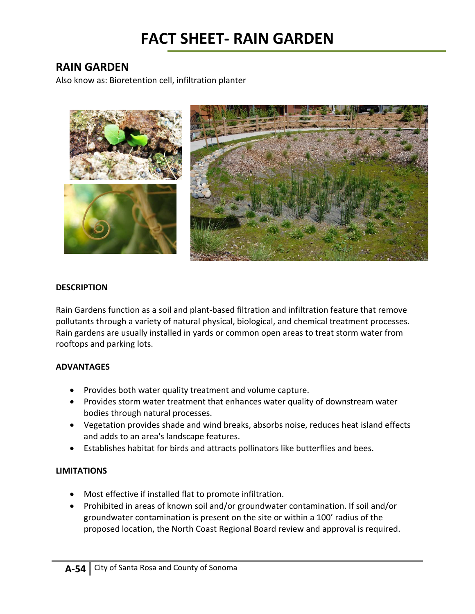## **FACT SHEET‐ RAIN GARDEN**

### **RAIN GARDEN**

Also know as: Bioretention cell, infiltration planter



### **DESCRIPTION**

Rain Gardens function as a soil and plant‐based filtration and infiltration feature that remove pollutants through a variety of natural physical, biological, and chemical treatment processes. Rain gardens are usually installed in yards or common open areas to treat storm water from rooftops and parking lots.

### **ADVANTAGES**

- Provides both water quality treatment and volume capture.
- Provides storm water treatment that enhances water quality of downstream water bodies through natural processes.
- Vegetation provides shade and wind breaks, absorbs noise, reduces heat island effects and adds to an area's landscape features.
- Establishes habitat for birds and attracts pollinators like butterflies and bees.

### **LIMITATIONS**

- Most effective if installed flat to promote infiltration.
- Prohibited in areas of known soil and/or groundwater contamination. If soil and/or groundwater contamination is present on the site or within a 100' radius of the proposed location, the North Coast Regional Board review and approval is required.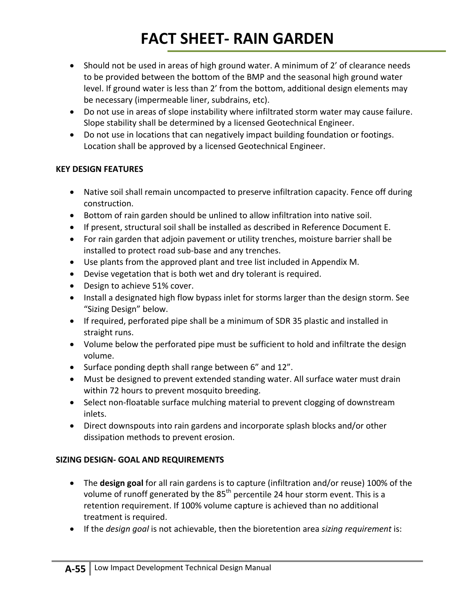# **FACT SHEET‐ RAIN GARDEN**

- Should not be used in areas of high ground water. A minimum of 2' of clearance needs to be provided between the bottom of the BMP and the seasonal high ground water level. If ground water is less than 2' from the bottom, additional design elements may be necessary (impermeable liner, subdrains, etc).
- Do not use in areas of slope instability where infiltrated storm water may cause failure. Slope stability shall be determined by a licensed Geotechnical Engineer.
- Do not use in locations that can negatively impact building foundation or footings. Location shall be approved by a licensed Geotechnical Engineer.

### **KEY DESIGN FEATURES**

- Native soil shall remain uncompacted to preserve infiltration capacity. Fence off during construction.
- Bottom of rain garden should be unlined to allow infiltration into native soil.
- If present, structural soil shall be installed as described in Reference Document E.
- For rain garden that adjoin pavement or utility trenches, moisture barrier shall be installed to protect road sub‐base and any trenches.
- Use plants from the approved plant and tree list included in Appendix M.
- Devise vegetation that is both wet and dry tolerant is required.
- Design to achieve 51% cover.
- Install a designated high flow bypass inlet for storms larger than the design storm. See "Sizing Design" below.
- If required, perforated pipe shall be a minimum of SDR 35 plastic and installed in straight runs.
- Volume below the perforated pipe must be sufficient to hold and infiltrate the design volume.
- Surface ponding depth shall range between 6" and 12".
- Must be designed to prevent extended standing water. All surface water must drain within 72 hours to prevent mosquito breeding.
- Select non-floatable surface mulching material to prevent clogging of downstream inlets.
- Direct downspouts into rain gardens and incorporate splash blocks and/or other dissipation methods to prevent erosion.

### **SIZING DESIGN‐ GOAL AND REQUIREMENTS**

- The **design goal** for all rain gardens is to capture (infiltration and/or reuse) 100% of the volume of runoff generated by the  $85<sup>th</sup>$  percentile 24 hour storm event. This is a retention requirement. If 100% volume capture is achieved than no additional treatment is required.
- If the *design goal* is not achievable, then the bioretention area *sizing requirement* is: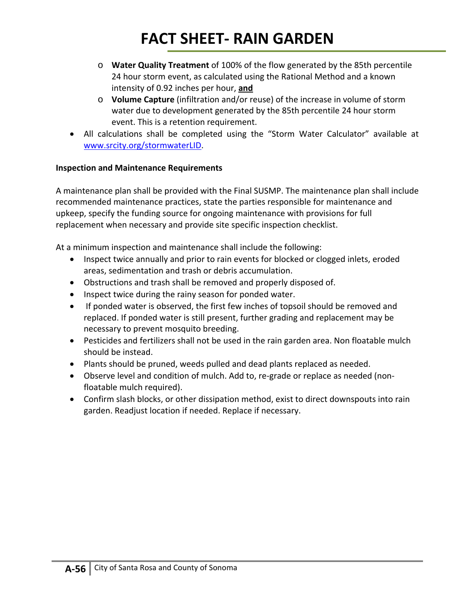# **FACT SHEET‐ RAIN GARDEN**

- o **Water Quality Treatment** of 100% of the flow generated by the 85th percentile 24 hour storm event, as calculated using the Rational Method and a known intensity of 0.92 inches per hour, **and**
- o **Volume Capture** (infiltration and/or reuse) of the increase in volume of storm water due to development generated by the 85th percentile 24 hour storm event. This is a retention requirement.
- All calculations shall be completed using the "Storm Water Calculator" available at www.srcity.org/stormwaterLID.

### **Inspection and Maintenance Requirements**

A maintenance plan shall be provided with the Final SUSMP. The maintenance plan shall include recommended maintenance practices, state the parties responsible for maintenance and upkeep, specify the funding source for ongoing maintenance with provisions for full replacement when necessary and provide site specific inspection checklist.

At a minimum inspection and maintenance shall include the following:

- Inspect twice annually and prior to rain events for blocked or clogged inlets, eroded areas, sedimentation and trash or debris accumulation.
- Obstructions and trash shall be removed and properly disposed of.
- Inspect twice during the rainy season for ponded water.
- If ponded water is observed, the first few inches of topsoil should be removed and replaced. If ponded water is still present, further grading and replacement may be necessary to prevent mosquito breeding.
- Pesticides and fertilizers shall not be used in the rain garden area. Non floatable mulch should be instead.
- Plants should be pruned, weeds pulled and dead plants replaced as needed.
- Observe level and condition of mulch. Add to, re-grade or replace as needed (nonfloatable mulch required).
- Confirm slash blocks, or other dissipation method, exist to direct downspouts into rain garden. Readjust location if needed. Replace if necessary.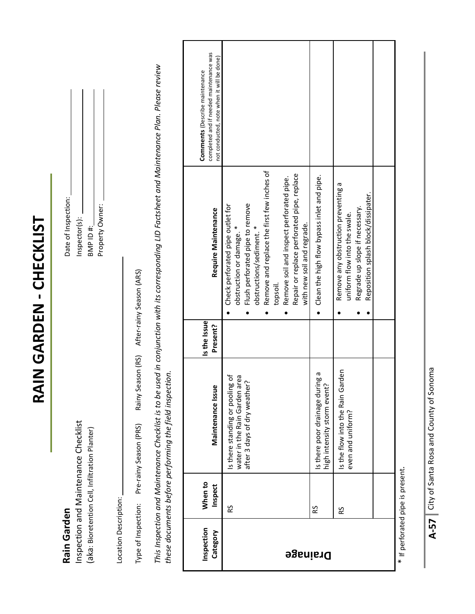RAIN GARDEN - CHECKLIST **RAIN GARDEN ‐ CHECKLIST**

# **Rain Garden Darden** Rain Garden

Inspection and Maintenance Checklist  $\blacksquare$ (aka: Bioretention Cell, Infiltration Planter)  $\theta$ Inspection and Maintenance Checklist (aka: Bioretention Cell, Infiltration Planter)

Date of Inspection: Property Owner: Property Owner: Inspector(s): BMP ID#:

> Location Description: Location Description:

Rainy Season (RS) After-rainy Season (ARS) Type of Inspection: Pre‐rainy Season (PRS) Rainy Season (RS) After‐rainy Season (ARS) Type of Inspection: Pre-rainy Season (PRS) This Inspection and Maintenance Checklist is to be used in conjunction with its corresponding LID Factsheet and Maintenance Plan. Please review This Inspection and Maintenance Checklist is to be used in conjunction with its corresponding LID Factsheet and Maintenance Plan. Please review these documents before performing the field inspection. *these documents before performing the field inspection.*

| Inspection<br>Category | When to<br>Inspect | Maintenance Issue                                                                                       | Is the Issue<br>Present? | Require Maintenance                                                                                                                                                                                                                                                                                           | completed and if needed maintenance was<br>not conducted, note when it will be done)<br><b>Comments</b> (Describe maintenance |
|------------------------|--------------------|---------------------------------------------------------------------------------------------------------|--------------------------|---------------------------------------------------------------------------------------------------------------------------------------------------------------------------------------------------------------------------------------------------------------------------------------------------------------|-------------------------------------------------------------------------------------------------------------------------------|
| <b>Drainage</b>        | 53                 | ð<br>rea<br>after 3 days of dry weather?<br>is there standing or pooling<br>water in the Rain Garden ar |                          | Remove and replace the first few inches of<br>Repair or replace perforated pipe, replace<br>Remove soil and inspect perforated pipe.<br>Flush perforated pipe to remove<br>Check perforated pipe outlet for<br>with new soil and regrade.<br>obstruction or damage. *<br>obstructions/sediment. *<br>topsoil. |                                                                                                                               |
|                        | 53                 | pa<br>Po<br>high intensity storm event?<br>Is there poor drainage duri                                  |                          | Clean the high flow bypass inlet and pipe.                                                                                                                                                                                                                                                                    |                                                                                                                               |
|                        | RS                 | rden<br>Is the flow into the Rain Gar<br>even and uniform?                                              |                          | Remove any obstruction preventing a<br>Reposition splash block/dissipater.<br>Regrade up slope if necessary.<br>uniform flow into the swale.                                                                                                                                                                  |                                                                                                                               |
|                        |                    |                                                                                                         |                          |                                                                                                                                                                                                                                                                                                               |                                                                                                                               |

It pertorated pipe is present. \* If perforated pipe is present.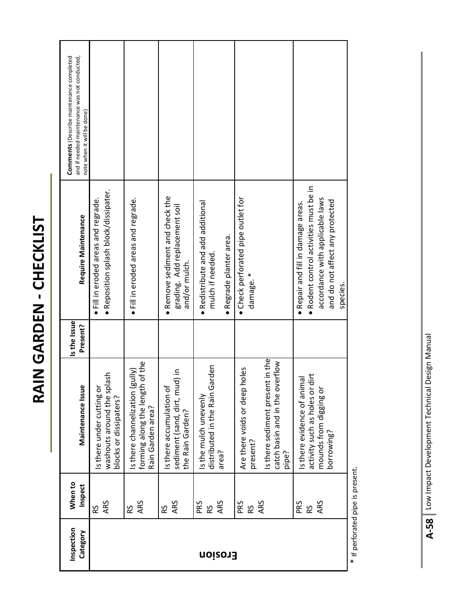| ľ      |
|--------|
| j      |
|        |
|        |
| ı      |
| Ι      |
|        |
|        |
| ť      |
| I      |
|        |
|        |
|        |
| ľ      |
| I<br>I |
|        |
| ι      |
|        |
|        |
|        |
|        |
| г<br>Ì |

| Inspection     | When to          |                                                                                                                           | Is the Issue |                                                                                                                                                                | and if needed maintenance was not conducted,<br><b>Comments</b> (Describe maintenance completed |
|----------------|------------------|---------------------------------------------------------------------------------------------------------------------------|--------------|----------------------------------------------------------------------------------------------------------------------------------------------------------------|-------------------------------------------------------------------------------------------------|
| Category       | Inspect          | Maintenance Issue                                                                                                         | Present?     | Require Maintenance                                                                                                                                            | note when it will be done)                                                                      |
|                | ARS<br>RS        | washouts around the splash<br>Is there under cutting or<br>blocks or dissipaters?                                         |              | · Reposition splash block/dissipater.<br>$\bullet$ Fill in eroded areas and regrade.                                                                           |                                                                                                 |
|                | ARS<br>RS        | h of the<br>(gully)<br>forming along the lengt!<br>Is there channelization<br>Rain Garden area?                           |              | $\bullet$ Fill in eroded areas and regrade.                                                                                                                    |                                                                                                 |
|                | ARS<br>RS        | sediment (sand, dirt, mud) in<br>Is there accumulation of<br>the Rain Garden?                                             |              | • Remove sediment and check the<br>grading. Add replacement soil<br>and/or mulch.                                                                              |                                                                                                 |
| <b>froison</b> | ARS<br>PRS<br>RS | distributed in the Rain Garden<br>Is the mulch unevenly<br>area?                                                          |              | • Redistribute and add additional<br>· Regrade planter area.<br>mulch if needed.                                                                               |                                                                                                 |
|                | ARS<br>PRS<br>Rδ | Is there sediment present in the<br>catch basin and in the overflow<br>Are there voids or deep holes<br>present?<br>pipe? |              | • Check perforated pipe outlet for<br>damage. *                                                                                                                |                                                                                                 |
|                | ARS<br>PRS<br>RS | dirt<br>Is there evidence of animal<br>activity such as holes or<br>mounds from digging or<br>borrowing?                  |              | · Rodent control activities must be in<br>accordance with applicable laws<br>and do not affect any protected<br>· Repair and fill in damage areas.<br>species. |                                                                                                 |

\* If perforated pipe is present. \* If perforated pipe is present.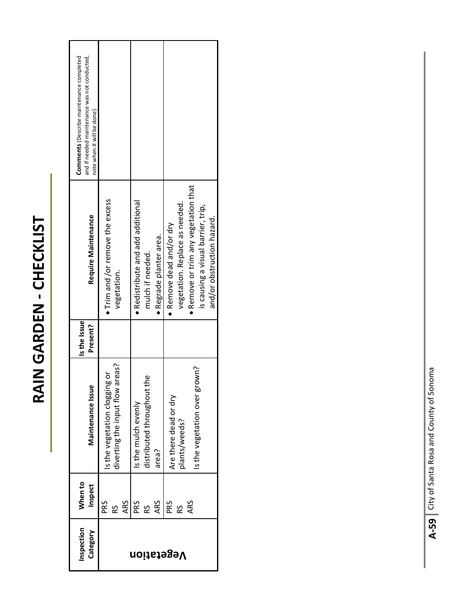# RAIN GARDEN - CHECKLIST **RAIN GARDEN ‐ CHECKLIST**

| and if needed maintenance was not conducted,<br><b>Comments</b> (Describe maintenance completed<br>note when it will be done) |                                                                     |                                                                                  |                                                                                                                                                                    |
|-------------------------------------------------------------------------------------------------------------------------------|---------------------------------------------------------------------|----------------------------------------------------------------------------------|--------------------------------------------------------------------------------------------------------------------------------------------------------------------|
| Require Maintenance                                                                                                           | . Trim and / or remove the excess<br>vegetation.                    | • Redistribute and add additional<br>· Regrade planter area.<br>mulch if needed. | Remove or trim any vegetation that<br>vegetation. Replace as needed.<br>is causing a visual barrier, trip,<br>and/or obstruction hazard.<br>Remove dead and/or dry |
| Is the Issue<br>Present?                                                                                                      |                                                                     |                                                                                  |                                                                                                                                                                    |
| ω<br>Maintenance Issu                                                                                                         | areas?<br>is the vegetation clogging or<br>diverting the input flow | distributed throughout the<br>Is the mulch evenly<br>area?                       | Is the vegetation over grown?<br>Are there dead or dry<br>plants/weeds?                                                                                            |
| When to<br>Inspect                                                                                                            | ARS<br>PRS<br>RS                                                    | PRS<br>ARS<br>53                                                                 | PRS<br>ARS<br>RS                                                                                                                                                   |
| Inspection<br>Category                                                                                                        |                                                                     | Vegetation                                                                       |                                                                                                                                                                    |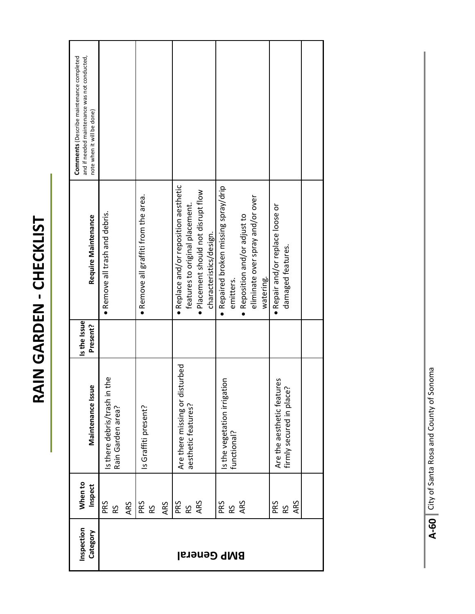RAIN GARDEN - CHECKLIST **RAIN GARDEN ‐ CHECKLIST**

| Inspection<br>Category | When to<br>Inspect | Maintenance Issue                                           | Is the Issue<br>Present? | Require Maintenance                                                                                                                        | and if needed maintenance was not conducted,<br><b>Comments</b> (Describe maintenance completed<br>note when it will be done) |
|------------------------|--------------------|-------------------------------------------------------------|--------------------------|--------------------------------------------------------------------------------------------------------------------------------------------|-------------------------------------------------------------------------------------------------------------------------------|
|                        | PRS<br>ARS<br>RS   | the<br>Is there debris/trash in<br>Rain Garden area?        |                          | • Remove all trash and debris.                                                                                                             |                                                                                                                               |
|                        | PRS<br>ARS<br>RS   | Is Graffiti present?                                        |                          | • Remove all graffiti from the area.                                                                                                       |                                                                                                                               |
| <b>BMP General</b>     | ARS<br>PRS<br>RS   | Are there missing or disturbed<br>aesthetic features?       |                          | · Replace and/or reposition aesthetic<br>· Placement should not disrupt flow<br>features to original placement.<br>characteristics/design. |                                                                                                                               |
|                        | ARS<br>PRS<br>RS   | Is the vegetation irrigation<br>functional?                 |                          | · Repaired broken missing spray/drip<br>eliminate over spray and/or over<br>• Reposition and/or adjust to<br>emitters.<br>watering.        |                                                                                                                               |
|                        | PRS<br>ARS<br>RS   | res<br>Are the aesthetic featur<br>firmly secured in place? |                          | • Repair and/or replace loose or<br>damaged features.                                                                                      |                                                                                                                               |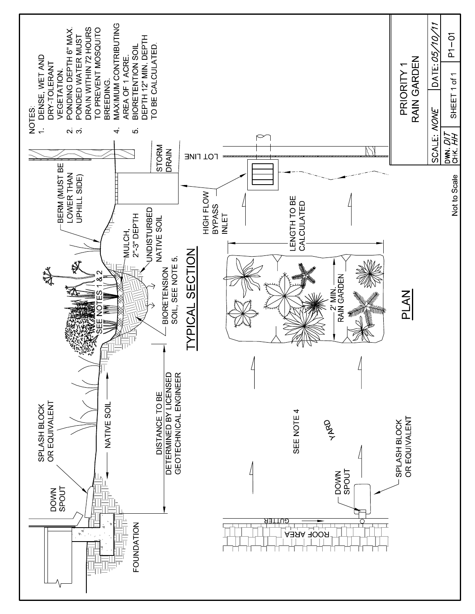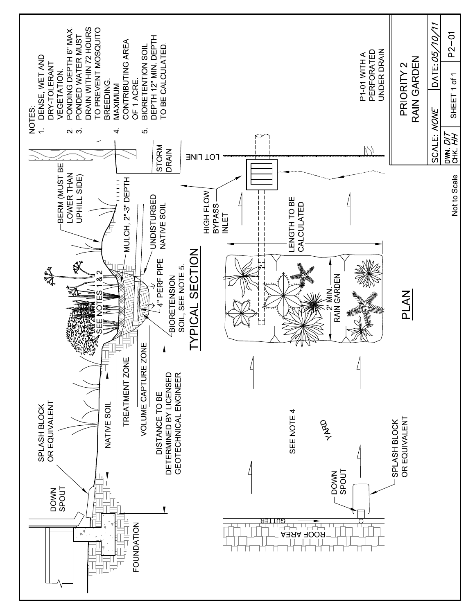